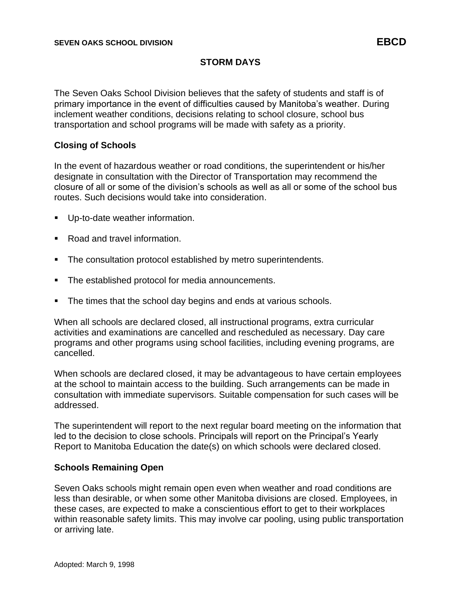The Seven Oaks School Division believes that the safety of students and staff is of primary importance in the event of difficulties caused by Manitoba's weather. During inclement weather conditions, decisions relating to school closure, school bus transportation and school programs will be made with safety as a priority.

# **Closing of Schools**

In the event of hazardous weather or road conditions, the superintendent or his/her designate in consultation with the Director of Transportation may recommend the closure of all or some of the division's schools as well as all or some of the school bus routes. Such decisions would take into consideration.

- Up-to-date weather information.
- Road and travel information.
- The consultation protocol established by metro superintendents.
- **•** The established protocol for media announcements.
- The times that the school day begins and ends at various schools.

When all schools are declared closed, all instructional programs, extra curricular activities and examinations are cancelled and rescheduled as necessary. Day care programs and other programs using school facilities, including evening programs, are cancelled.

When schools are declared closed, it may be advantageous to have certain employees at the school to maintain access to the building. Such arrangements can be made in consultation with immediate supervisors. Suitable compensation for such cases will be addressed.

The superintendent will report to the next regular board meeting on the information that led to the decision to close schools. Principals will report on the Principal's Yearly Report to Manitoba Education the date(s) on which schools were declared closed.

### **Schools Remaining Open**

Seven Oaks schools might remain open even when weather and road conditions are less than desirable, or when some other Manitoba divisions are closed. Employees, in these cases, are expected to make a conscientious effort to get to their workplaces within reasonable safety limits. This may involve car pooling, using public transportation or arriving late.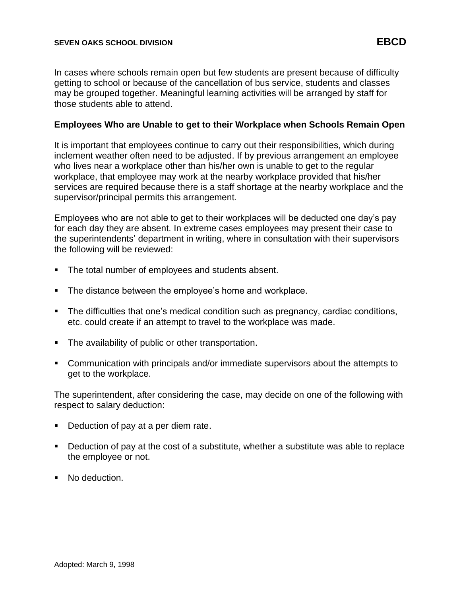#### **SEVEN OAKS SCHOOL DIVISION EBCD**

In cases where schools remain open but few students are present because of difficulty getting to school or because of the cancellation of bus service, students and classes may be grouped together. Meaningful learning activities will be arranged by staff for those students able to attend.

### **Employees Who are Unable to get to their Workplace when Schools Remain Open**

It is important that employees continue to carry out their responsibilities, which during inclement weather often need to be adjusted. If by previous arrangement an employee who lives near a workplace other than his/her own is unable to get to the regular workplace, that employee may work at the nearby workplace provided that his/her services are required because there is a staff shortage at the nearby workplace and the supervisor/principal permits this arrangement.

Employees who are not able to get to their workplaces will be deducted one day's pay for each day they are absent. In extreme cases employees may present their case to the superintendents' department in writing, where in consultation with their supervisors the following will be reviewed:

- The total number of employees and students absent.
- The distance between the employee's home and workplace.
- The difficulties that one's medical condition such as pregnancy, cardiac conditions, etc. could create if an attempt to travel to the workplace was made.
- The availability of public or other transportation.
- Communication with principals and/or immediate supervisors about the attempts to get to the workplace.

The superintendent, after considering the case, may decide on one of the following with respect to salary deduction:

- Deduction of pay at a per diem rate.
- Deduction of pay at the cost of a substitute, whether a substitute was able to replace the employee or not.
- No deduction.